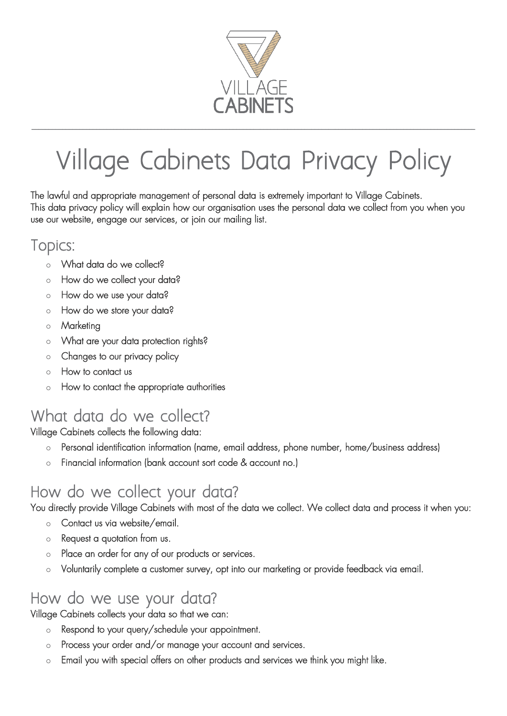

# Village Cabinets Data Privacy Policy

\_\_\_\_\_\_\_\_\_\_\_\_\_\_\_\_\_\_\_\_\_\_\_\_\_\_\_\_\_\_\_\_\_\_\_\_\_\_\_\_\_\_\_\_\_\_\_\_\_\_\_\_\_\_\_\_\_\_\_\_\_\_\_\_\_\_\_\_\_\_\_\_\_\_\_\_\_\_\_\_\_\_\_\_\_\_\_\_\_\_\_\_\_\_\_\_\_\_\_\_\_\_\_\_\_\_\_\_\_\_\_\_\_\_\_\_\_\_\_\_\_\_\_\_\_\_\_\_\_\_

The lawful and appropriate management of personal data is extremely important to Village Cabinets. This data privacy policy will explain how our organisation uses the personal data we collect from you when you use our website, engage our services, or join our mailing list.

#### Topics:

- o What data do we collect?
- o How do we collect your data?
- o How do we use your data?
- o How do we store your data?
- o Marketing
- o What are your data protection rights?
- o Changes to our privacy policy
- o How to contact us
- o How to contact the appropriate authorities

## What data do we collect?

Village Cabinets collects the following data:

- o Personal identification information (name, email address, phone number, home/business address)
- o Financial information (bank account sort code & account no.)

# How do we collect your data?

You directly provide Village Cabinets with most of the data we collect. We collect data and process it when you:

- o Contact us via website/email.
- o Request a quotation from us.
- o Place an order for any of our products or services.
- o Voluntarily complete a customer survey, opt into our marketing or provide feedback via email.

## How do we use your data?

Village Cabinets collects your data so that we can:

- o Respond to your query/schedule your appointment.
- o Process your order and/or manage your account and services.
- o Email you with special offers on other products and services we think you might like.